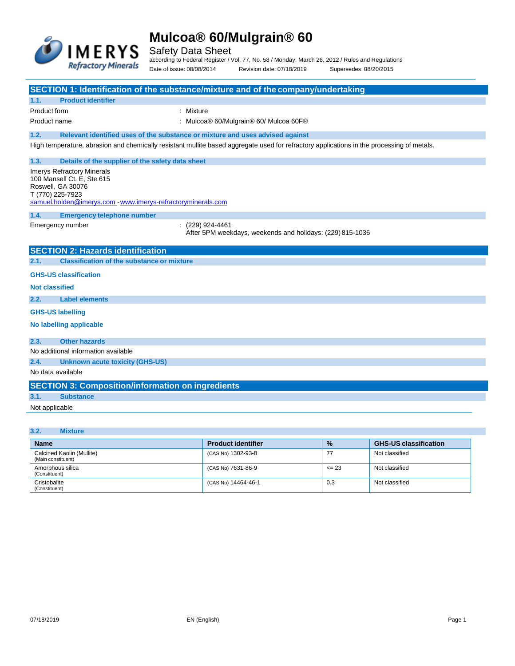

Safety Data Sheet

according to Federal Register / Vol. 77, No. 58 / Monday, March 26, 2012 / Rules and Regulations Date of issue: 08/08/2014 Revision date: 07/18/2019 Supersedes: 08/20/2015

|                                                                                                                                                                        | SECTION 1: Identification of the substance/mixture and of the company/undertaking                                                         |
|------------------------------------------------------------------------------------------------------------------------------------------------------------------------|-------------------------------------------------------------------------------------------------------------------------------------------|
| <b>Product identifier</b><br>1.1.                                                                                                                                      |                                                                                                                                           |
| Product form                                                                                                                                                           | : Mixture                                                                                                                                 |
| Product name                                                                                                                                                           | : Mulcoa® 60/Mulgrain® 60/ Mulcoa 60F®                                                                                                    |
| 1.2.                                                                                                                                                                   | Relevant identified uses of the substance or mixture and uses advised against                                                             |
|                                                                                                                                                                        | High temperature, abrasion and chemically resistant mullite based aggregate used for refractory applications in the processing of metals. |
| 1.3.<br>Details of the supplier of the safety data sheet                                                                                                               |                                                                                                                                           |
| <b>Imerys Refractory Minerals</b><br>100 Mansell Ct. E, Ste 615<br>Roswell, GA 30076<br>T (770) 225-7923<br>samuel.holden@imerys.com www.imerys-refractoryminerals.com |                                                                                                                                           |
| 1.4.<br><b>Emergency telephone number</b>                                                                                                                              |                                                                                                                                           |
| Emergency number                                                                                                                                                       | $(229)$ 924-4461<br>After 5PM weekdays, weekends and holidays: (229) 815-1036                                                             |
| <b>SECTION 2: Hazards identification</b>                                                                                                                               |                                                                                                                                           |
| 2.1.<br><b>Classification of the substance or mixture</b>                                                                                                              |                                                                                                                                           |
| <b>GHS-US classification</b>                                                                                                                                           |                                                                                                                                           |
| <b>Not classified</b>                                                                                                                                                  |                                                                                                                                           |
| 2.2.<br><b>Label elements</b>                                                                                                                                          |                                                                                                                                           |
| <b>GHS-US labelling</b>                                                                                                                                                |                                                                                                                                           |
| No labelling applicable                                                                                                                                                |                                                                                                                                           |
| <b>Other hazards</b><br>2.3.                                                                                                                                           |                                                                                                                                           |
| No additional information available                                                                                                                                    |                                                                                                                                           |
| 2.4.<br><b>Unknown acute toxicity (GHS-US)</b>                                                                                                                         |                                                                                                                                           |
| No data available                                                                                                                                                      |                                                                                                                                           |
| <b>SECTION 3: Composition/information on ingredients</b>                                                                                                               |                                                                                                                                           |
| 3.1.<br><b>Substance</b>                                                                                                                                               |                                                                                                                                           |
| Not applicable                                                                                                                                                         |                                                                                                                                           |
|                                                                                                                                                                        |                                                                                                                                           |
| 3.2.<br><b>Mixture</b>                                                                                                                                                 |                                                                                                                                           |
| <b>Name</b>                                                                                                                                                            | $\mathbf{a}$<br>$\Box$ Denalustial antifici<br>CHC HC plannification                                                                      |

| <b>Name</b>                                     | <b>Product identifier</b> | $\frac{9}{6}$ | <b>GHS-US classification</b> |
|-------------------------------------------------|---------------------------|---------------|------------------------------|
| Calcined Kaolin (Mullite)<br>(Main constituent) | (CAS No) 1302-93-8        | -77           | Not classified               |
| Amorphous silica<br>(Constituent)               | (CAS No) 7631-86-9        | $\leq$ 23     | Not classified               |
| Cristobalite<br>(Constituent)                   | (CAS No) 14464-46-1       | 0.3           | Not classified               |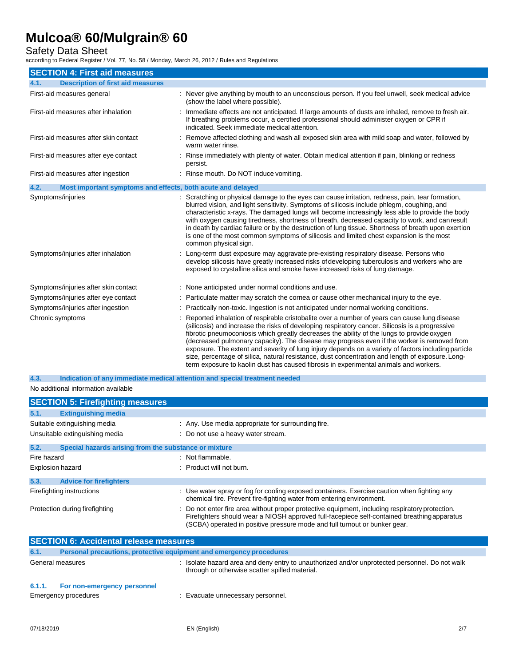## Safety Data Sheet

according to Federal Register / Vol. 77, No. 58 / Monday, March 26, 2012 / Rules and Regulations

| <b>SECTION 4: First aid measures</b>                                |                                                                                                                                                                                                                                                                                                                                                                                                                                                                                                                                                                                                                                                                                                  |
|---------------------------------------------------------------------|--------------------------------------------------------------------------------------------------------------------------------------------------------------------------------------------------------------------------------------------------------------------------------------------------------------------------------------------------------------------------------------------------------------------------------------------------------------------------------------------------------------------------------------------------------------------------------------------------------------------------------------------------------------------------------------------------|
| <b>Description of first aid measures</b><br>4.1.                    |                                                                                                                                                                                                                                                                                                                                                                                                                                                                                                                                                                                                                                                                                                  |
| First-aid measures general                                          | : Never give anything by mouth to an unconscious person. If you feel unwell, seek medical advice<br>(show the label where possible).                                                                                                                                                                                                                                                                                                                                                                                                                                                                                                                                                             |
| First-aid measures after inhalation                                 | Immediate effects are not anticipated. If large amounts of dusts are inhaled, remove to fresh air.<br>If breathing problems occur, a certified professional should administer oxygen or CPR if<br>indicated. Seek immediate medical attention.                                                                                                                                                                                                                                                                                                                                                                                                                                                   |
| First-aid measures after skin contact                               | : Remove affected clothing and wash all exposed skin area with mild soap and water, followed by<br>warm water rinse.                                                                                                                                                                                                                                                                                                                                                                                                                                                                                                                                                                             |
| First-aid measures after eye contact                                | : Rinse immediately with plenty of water. Obtain medical attention if pain, blinking or redness<br>persist.                                                                                                                                                                                                                                                                                                                                                                                                                                                                                                                                                                                      |
| First-aid measures after ingestion                                  | : Rinse mouth. Do NOT induce vomiting.                                                                                                                                                                                                                                                                                                                                                                                                                                                                                                                                                                                                                                                           |
| 4.2.<br>Most important symptoms and effects, both acute and delayed |                                                                                                                                                                                                                                                                                                                                                                                                                                                                                                                                                                                                                                                                                                  |
| Symptoms/injuries                                                   | : Scratching or physical damage to the eyes can cause irritation, redness, pain, tear formation,<br>blurred vision, and light sensitivity. Symptoms of silicosis include phlegm, coughing, and<br>characteristic x-rays. The damaged lungs will become increasingly less able to provide the body<br>with oxygen causing tiredness, shortness of breath, decreased capacity to work, and can result<br>in death by cardiac failure or by the destruction of lung tissue. Shortness of breath upon exertion<br>is one of the most common symptoms of silicosis and limited chest expansion is the most<br>common physical sign.                                                                   |
| Symptoms/injuries after inhalation                                  | : Long-term dust exposure may aggravate pre-existing respiratory disease. Persons who<br>develop silicosis have greatly increased risks of developing tuberculosis and workers who are<br>exposed to crystalline silica and smoke have increased risks of lung damage.                                                                                                                                                                                                                                                                                                                                                                                                                           |
| Symptoms/injuries after skin contact                                | : None anticipated under normal conditions and use.                                                                                                                                                                                                                                                                                                                                                                                                                                                                                                                                                                                                                                              |
| Symptoms/injuries after eye contact                                 | : Particulate matter may scratch the cornea or cause other mechanical injury to the eye.                                                                                                                                                                                                                                                                                                                                                                                                                                                                                                                                                                                                         |
| Symptoms/injuries after ingestion                                   | Practically non-toxic. Ingestion is not anticipated under normal working conditions.                                                                                                                                                                                                                                                                                                                                                                                                                                                                                                                                                                                                             |
| Chronic symptoms                                                    | Reported inhalation of respirable cristobalite over a number of years can cause lung disease<br>(silicosis) and increase the risks of developing respiratory cancer. Silicosis is a progressive<br>fibrotic pneumoconiosis which greatly decreases the ability of the lungs to provide oxygen<br>(decreased pulmonary capacity). The disease may progress even if the worker is removed from<br>exposure. The extent and severity of lung injury depends on a variety of factors including particle<br>size, percentage of silica, natural resistance, dust concentration and length of exposure. Long-<br>term exposure to kaolin dust has caused fibrosis in experimental animals and workers. |

No additional information available **4.3. Indication of any immediate medical attention and special treatment needed**

| <b>SECTION 5: Firefighting measures</b>                                                                                                                                                                                                                                                                                                                       |                                                                                                                                                                                                                                                                              |
|---------------------------------------------------------------------------------------------------------------------------------------------------------------------------------------------------------------------------------------------------------------------------------------------------------------------------------------------------------------|------------------------------------------------------------------------------------------------------------------------------------------------------------------------------------------------------------------------------------------------------------------------------|
| 5.1.<br><b>Extinguishing media</b>                                                                                                                                                                                                                                                                                                                            |                                                                                                                                                                                                                                                                              |
| Suitable extinguishing media                                                                                                                                                                                                                                                                                                                                  | : Any. Use media appropriate for surrounding fire.                                                                                                                                                                                                                           |
| Unsuitable extinguishing media                                                                                                                                                                                                                                                                                                                                | : Do not use a heavy water stream.                                                                                                                                                                                                                                           |
| 5.2.<br>Special hazards arising from the substance or mixture                                                                                                                                                                                                                                                                                                 |                                                                                                                                                                                                                                                                              |
| Fire hazard                                                                                                                                                                                                                                                                                                                                                   | : Not flammable.                                                                                                                                                                                                                                                             |
| <b>Explosion hazard</b>                                                                                                                                                                                                                                                                                                                                       | $:$ Product will not burn.                                                                                                                                                                                                                                                   |
| 5.3.<br><b>Advice for firefighters</b>                                                                                                                                                                                                                                                                                                                        |                                                                                                                                                                                                                                                                              |
| Firefighting instructions                                                                                                                                                                                                                                                                                                                                     | : Use water spray or fog for cooling exposed containers. Exercise caution when fighting any<br>chemical fire. Prevent fire-fighting water from entering environment.                                                                                                         |
| Protection during firefighting                                                                                                                                                                                                                                                                                                                                | : Do not enter fire area without proper protective equipment, including respiratory protection.<br>Firefighters should wear a NIOSH approved full-facepiece self-contained breathing apparatus<br>(SCBA) operated in positive pressure mode and full turnout or bunker gear. |
| $\alpha$ = $\alpha$ = $\alpha$ = $\alpha$ = $\alpha$ = $\alpha$ = $\alpha$ = $\alpha$ = $\alpha$ = $\alpha$ = $\alpha$ = $\alpha$ = $\alpha$ = $\alpha$ = $\alpha$ = $\alpha$ = $\alpha$ = $\alpha$ = $\alpha$ = $\alpha$ = $\alpha$ = $\alpha$ = $\alpha$ = $\alpha$ = $\alpha$ = $\alpha$ = $\alpha$ = $\alpha$ = $\alpha$ = $\alpha$ = $\alpha$ = $\alpha$ |                                                                                                                                                                                                                                                                              |

|                  | <b>SECTION 6: Accidental release measures</b>                       |                                                                                                                                                |  |
|------------------|---------------------------------------------------------------------|------------------------------------------------------------------------------------------------------------------------------------------------|--|
| 6.1.             | Personal precautions, protective equipment and emergency procedures |                                                                                                                                                |  |
| General measures |                                                                     | Isolate hazard area and deny entry to unauthorized and/or unprotected personnel. Do not walk<br>through or otherwise scatter spilled material. |  |
| 6.1.1.           | For non-emergency personnel<br>Emergency procedures                 | Evacuate unnecessary personnel.                                                                                                                |  |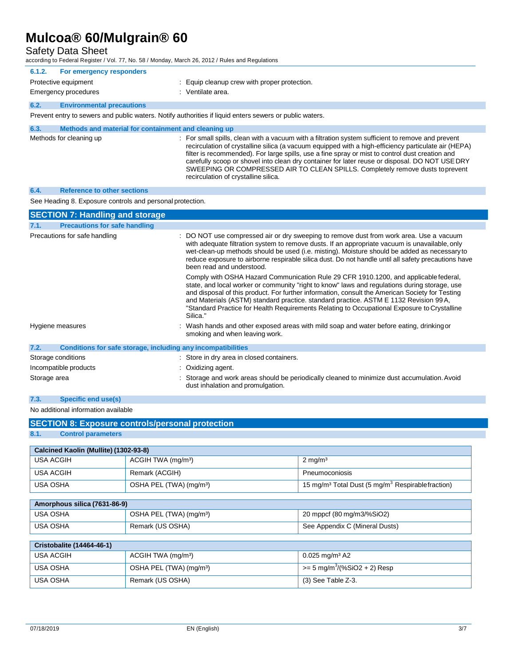Safety Data Sheet

according to Federal Register / Vol. 77, No. 58 / Monday, March 26, 2012 / Rules and Regulations

| 6.1.2. | For emergency responders                             |                                                                                                         |
|--------|------------------------------------------------------|---------------------------------------------------------------------------------------------------------|
|        | Protective equipment                                 | : Equip cleanup crew with proper protection.                                                            |
|        | Emergency procedures                                 | : Ventilate area.                                                                                       |
| 6.2.   | <b>Environmental precautions</b>                     |                                                                                                         |
|        |                                                      | Prevent entry to sewers and public waters. Notify authorities if liquid enters sewers or public waters. |
| 63     | Mathods and material for containment and cleaning up |                                                                                                         |

| $\mathbf{v} \cdot \mathbf{v}$ | <u>incurvus and material ive containment and cicaming up</u> |                                                                                                                                                                                                                                                                                                                                                                                                                                                                                                                                          |
|-------------------------------|--------------------------------------------------------------|------------------------------------------------------------------------------------------------------------------------------------------------------------------------------------------------------------------------------------------------------------------------------------------------------------------------------------------------------------------------------------------------------------------------------------------------------------------------------------------------------------------------------------------|
|                               | Methods for cleaning up                                      | : For small spills, clean with a vacuum with a filtration system sufficient to remove and prevent<br>recirculation of crystalline silica (a vacuum equipped with a high-efficiency particulate air (HEPA)<br>filter is recommended). For large spills, use a fine spray or mist to control dust creation and<br>carefully scoop or shovel into clean dry container for later reuse or disposal. DO NOT USE DRY<br>SWEEPING OR COMPRESSED AIR TO CLEAN SPILLS. Completely remove dusts to prevent<br>recirculation of crystalline silica. |

#### **6.4. Reference to other sections**

See Heading 8. Exposure controls and personal protection.

| <b>SECTION 7: Handling and storage</b>                               |                                                                                                                                                                                                                                                                                                                                                                                                                                                                                              |
|----------------------------------------------------------------------|----------------------------------------------------------------------------------------------------------------------------------------------------------------------------------------------------------------------------------------------------------------------------------------------------------------------------------------------------------------------------------------------------------------------------------------------------------------------------------------------|
| <b>Precautions for safe handling</b><br>7.1.                         |                                                                                                                                                                                                                                                                                                                                                                                                                                                                                              |
| Precautions for safe handling                                        | : DO NOT use compressed air or dry sweeping to remove dust from work area. Use a vacuum<br>with adequate filtration system to remove dusts. If an appropriate vacuum is unavailable, only<br>wet-clean-up methods should be used (i.e. misting). Moisture should be added as necessary to<br>reduce exposure to airborne respirable silica dust. Do not handle until all safety precautions have<br>been read and understood.                                                                |
|                                                                      | Comply with OSHA Hazard Communication Rule 29 CFR 1910.1200, and applicable federal,<br>state, and local worker or community "right to know" laws and regulations during storage, use<br>and disposal of this product. For further information, consult the American Society for Testing<br>and Materials (ASTM) standard practice. standard practice. ASTM E 1132 Revision 99 A,<br>"Standard Practice for Health Requirements Relating to Occupational Exposure to Crystalline<br>Silica." |
| Hygiene measures                                                     | : Wash hands and other exposed areas with mild soap and water before eating, drinking or<br>smoking and when leaving work.                                                                                                                                                                                                                                                                                                                                                                   |
| 7.2.<br>Conditions for safe storage, including any incompatibilities |                                                                                                                                                                                                                                                                                                                                                                                                                                                                                              |
| Storage conditions                                                   | : Store in dry area in closed containers.                                                                                                                                                                                                                                                                                                                                                                                                                                                    |
| Incompatible products                                                | : Oxidizing agent.                                                                                                                                                                                                                                                                                                                                                                                                                                                                           |
| Storage area                                                         | : Storage and work areas should be periodically cleaned to minimize dust accumulation. Avoid<br>dust inhalation and promulgation.                                                                                                                                                                                                                                                                                                                                                            |

### **7.3. Specific end use(s)**

No additional information available

| <b>SECTION 8: Exposure controls/personal protection</b> |                                     |                                                                           |  |  |  |
|---------------------------------------------------------|-------------------------------------|---------------------------------------------------------------------------|--|--|--|
| <b>Control parameters</b><br>8.1.                       |                                     |                                                                           |  |  |  |
| Calcined Kaolin (Mullite) (1302-93-8)                   |                                     |                                                                           |  |  |  |
|                                                         |                                     |                                                                           |  |  |  |
| <b>USA ACGIH</b>                                        | ACGIH TWA (mg/m <sup>3</sup> )      | $2 \text{ mg/m}^3$                                                        |  |  |  |
| <b>USA ACGIH</b>                                        | Remark (ACGIH)                      | Pneumoconiosis                                                            |  |  |  |
| <b>USA OSHA</b>                                         | OSHA PEL (TWA) (mg/m <sup>3</sup> ) | 15 mg/m <sup>3</sup> Total Dust (5 mg/m <sup>3</sup> Respirable fraction) |  |  |  |
| Amorphous silica (7631-86-9)                            |                                     |                                                                           |  |  |  |
| USA OSHA                                                | OSHA PEL (TWA) (mg/m <sup>3</sup> ) | 20 mppcf (80 mg/m3/%SiO2)                                                 |  |  |  |
| <b>USA OSHA</b>                                         | Remark (US OSHA)                    | See Appendix C (Mineral Dusts)                                            |  |  |  |
|                                                         |                                     |                                                                           |  |  |  |
| <b>Cristobalite (14464-46-1)</b>                        |                                     |                                                                           |  |  |  |
| <b>USA ACGIH</b>                                        | ACGIH TWA (mg/m <sup>3</sup> )      | $0.025$ mg/m <sup>3</sup> A2                                              |  |  |  |
| <b>USA OSHA</b>                                         | OSHA PEL (TWA) (mg/m <sup>3</sup> ) | $= 5$ mg/m <sup>3</sup> /(%SiO2 + 2) Resp                                 |  |  |  |
| <b>USA OSHA</b>                                         | Remark (US OSHA)                    | $(3)$ See Table Z-3.                                                      |  |  |  |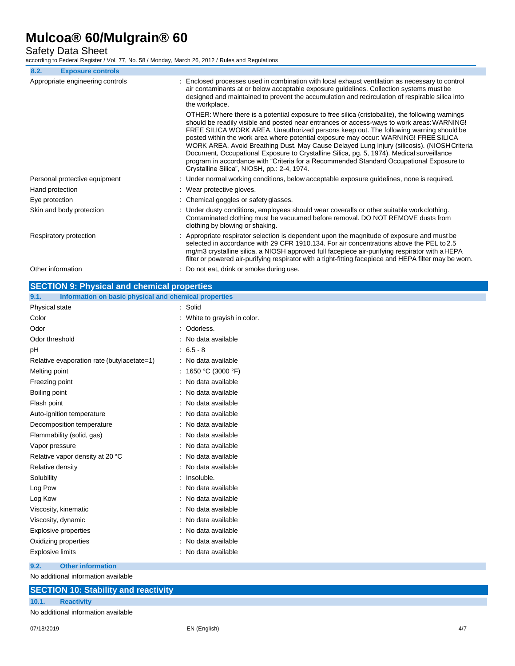Safety Data Sheet

according to Federal Register / Vol. 77, No. 58 / Monday, March 26, 2012 / Rules and Regulations

| 8.2.<br><b>Exposure controls</b>                   |                                                                                                                                                                                                                                                                                                                                                                                                                                                                                                                                                                                                                                                                                                                        |
|----------------------------------------------------|------------------------------------------------------------------------------------------------------------------------------------------------------------------------------------------------------------------------------------------------------------------------------------------------------------------------------------------------------------------------------------------------------------------------------------------------------------------------------------------------------------------------------------------------------------------------------------------------------------------------------------------------------------------------------------------------------------------------|
| Appropriate engineering controls                   | : Enclosed processes used in combination with local exhaust ventilation as necessary to control<br>air contaminants at or below acceptable exposure guidelines. Collection systems must be<br>designed and maintained to prevent the accumulation and recirculation of respirable silica into<br>the workplace.                                                                                                                                                                                                                                                                                                                                                                                                        |
|                                                    | OTHER: Where there is a potential exposure to free silica (cristobalite), the following warnings<br>should be readily visible and posted near entrances or access-ways to work areas: WARNING!<br>FREE SILICA WORK AREA. Unauthorized persons keep out. The following warning should be<br>posted within the work area where potential exposure may occur: WARNING! FREE SILICA<br>WORK AREA. Avoid Breathing Dust. May Cause Delayed Lung Injury (silicosis). (NIOSH Criteria<br>Document, Occupational Exposure to Crystalline Silica, pg. 5, 1974). Medical surveillance<br>program in accordance with "Criteria for a Recommended Standard Occupational Exposure to<br>Crystalline Silica", NIOSH, pp.: 2-4, 1974. |
| Personal protective equipment                      | : Under normal working conditions, below acceptable exposure guidelines, none is required.                                                                                                                                                                                                                                                                                                                                                                                                                                                                                                                                                                                                                             |
| Hand protection                                    | : Wear protective gloves.                                                                                                                                                                                                                                                                                                                                                                                                                                                                                                                                                                                                                                                                                              |
| Eye protection                                     | : Chemical goggles or safety glasses.                                                                                                                                                                                                                                                                                                                                                                                                                                                                                                                                                                                                                                                                                  |
| Skin and body protection                           | : Under dusty conditions, employees should wear coveralls or other suitable work clothing.<br>Contaminated clothing must be vacuumed before removal. DO NOT REMOVE dusts from<br>clothing by blowing or shaking.                                                                                                                                                                                                                                                                                                                                                                                                                                                                                                       |
| Respiratory protection                             | : Appropriate respirator selection is dependent upon the magnitude of exposure and must be<br>selected in accordance with 29 CFR 1910.134. For air concentrations above the PEL to 2.5<br>mg/m3 crystalline silica, a NIOSH approved full facepiece air-purifying respirator with aHEPA<br>filter or powered air-purifying respirator with a tight-fitting facepiece and HEPA filter may be worn.                                                                                                                                                                                                                                                                                                                      |
| Other information                                  | : Do not eat, drink or smoke during use.                                                                                                                                                                                                                                                                                                                                                                                                                                                                                                                                                                                                                                                                               |
| <b>SECTION 9: Physical and chemical properties</b> |                                                                                                                                                                                                                                                                                                                                                                                                                                                                                                                                                                                                                                                                                                                        |

| Information on basic physical and chemical properties<br>9.1. |                            |
|---------------------------------------------------------------|----------------------------|
| Physical state                                                | : Solid                    |
| Color                                                         | White to grayish in color. |
| Odor                                                          | Odorless.                  |
| Odor threshold                                                | : No data available        |
| рH                                                            | $: 6.5 - 8$                |
| Relative evaporation rate (butylacetate=1)                    | : No data available        |
| Melting point                                                 | : 1650 °C (3000 °F)        |
| Freezing point                                                | No data available          |
| Boiling point                                                 | No data available          |
| Flash point                                                   | No data available          |
| Auto-ignition temperature                                     | No data available          |
| Decomposition temperature                                     | No data available          |
| Flammability (solid, gas)                                     | No data available          |
| Vapor pressure                                                | No data available          |
| Relative vapor density at 20 °C                               | No data available          |
| Relative density                                              | No data available          |
| Solubility                                                    | Insoluble.                 |
| Log Pow                                                       | No data available          |
| Log Kow                                                       | No data available          |
| Viscosity, kinematic                                          | No data available          |
| Viscosity, dynamic                                            | No data available          |
| <b>Explosive properties</b>                                   | No data available          |
| Oxidizing properties                                          | No data available          |
| <b>Explosive limits</b>                                       | No data available          |
| <b>Other information</b><br>9.2.                              |                            |

No additional information available

|       | <b>SECTION 10: Stability and reactivity</b> |
|-------|---------------------------------------------|
| 10.1. | <b>Reactivity</b>                           |
|       | No additional information available         |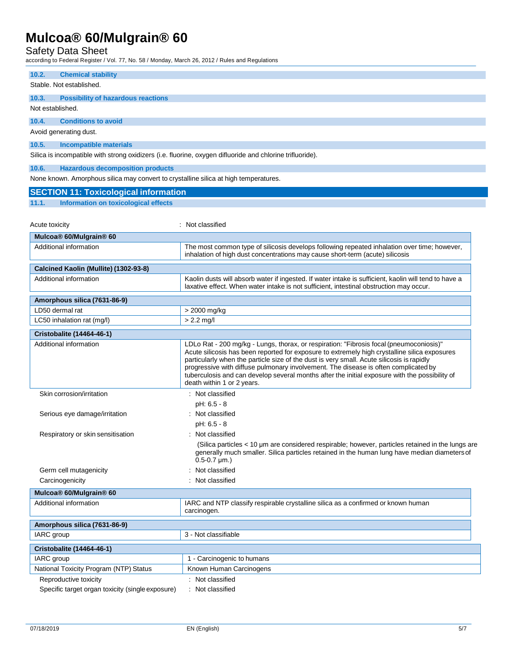Safety Data Sheet

according to Federal Register / Vol. 77, No. 58 / Monday, March 26, 2012 / Rules and Regulations

|                                    | $\sim$ and $\sim$ 1 cachar regional $\prime$ voi. $\prime$ i, i.e. so $\prime$ mondary, materials, zviz $\prime$ reads and regular |                                                                                                                                                                                          |  |
|------------------------------------|------------------------------------------------------------------------------------------------------------------------------------|------------------------------------------------------------------------------------------------------------------------------------------------------------------------------------------|--|
| 10.2.                              | <b>Chemical stability</b>                                                                                                          |                                                                                                                                                                                          |  |
|                                    | Stable. Not established.                                                                                                           |                                                                                                                                                                                          |  |
| 10.3.                              | <b>Possibility of hazardous reactions</b>                                                                                          |                                                                                                                                                                                          |  |
| Not established.                   |                                                                                                                                    |                                                                                                                                                                                          |  |
|                                    |                                                                                                                                    |                                                                                                                                                                                          |  |
| 10.4.                              | <b>Conditions to avoid</b>                                                                                                         |                                                                                                                                                                                          |  |
|                                    | Avoid generating dust.                                                                                                             |                                                                                                                                                                                          |  |
| 10.5.                              | <b>Incompatible materials</b>                                                                                                      |                                                                                                                                                                                          |  |
|                                    |                                                                                                                                    | Silica is incompatible with strong oxidizers (i.e. fluorine, oxygen difluoride and chlorine trifluoride).                                                                                |  |
| 10.6.                              | <b>Hazardous decomposition products</b>                                                                                            |                                                                                                                                                                                          |  |
|                                    | None known. Amorphous silica may convert to crystalline silica at high temperatures.                                               |                                                                                                                                                                                          |  |
|                                    |                                                                                                                                    |                                                                                                                                                                                          |  |
|                                    | <b>SECTION 11: Toxicological information</b>                                                                                       |                                                                                                                                                                                          |  |
| 11.1.                              | Information on toxicological effects                                                                                               |                                                                                                                                                                                          |  |
|                                    |                                                                                                                                    |                                                                                                                                                                                          |  |
| Acute toxicity                     |                                                                                                                                    | : Not classified                                                                                                                                                                         |  |
|                                    | Mulcoa® 60/Mulgrain® 60                                                                                                            |                                                                                                                                                                                          |  |
|                                    | Additional information                                                                                                             | The most common type of silicosis develops following repeated inhalation over time; however,                                                                                             |  |
|                                    |                                                                                                                                    | inhalation of high dust concentrations may cause short-term (acute) silicosis                                                                                                            |  |
|                                    | Calcined Kaolin (Mullite) (1302-93-8)                                                                                              |                                                                                                                                                                                          |  |
|                                    | Additional information                                                                                                             | Kaolin dusts will absorb water if ingested. If water intake is sufficient, kaolin will tend to have a                                                                                    |  |
|                                    |                                                                                                                                    | laxative effect. When water intake is not sufficient, intestinal obstruction may occur.                                                                                                  |  |
|                                    | Amorphous silica (7631-86-9)                                                                                                       |                                                                                                                                                                                          |  |
|                                    | LD50 dermal rat                                                                                                                    | > 2000 mg/kg                                                                                                                                                                             |  |
|                                    | LC50 inhalation rat (mg/l)                                                                                                         | $> 2.2$ mg/                                                                                                                                                                              |  |
|                                    | <b>Cristobalite (14464-46-1)</b>                                                                                                   |                                                                                                                                                                                          |  |
|                                    | Additional information                                                                                                             |                                                                                                                                                                                          |  |
|                                    |                                                                                                                                    | LDLo Rat - 200 mg/kg - Lungs, thorax, or respiration: "Fibrosis focal (pneumoconiosis)"<br>Acute silicosis has been reported for exposure to extremely high crystalline silica exposures |  |
|                                    |                                                                                                                                    | particularly when the particle size of the dust is very small. Acute silicosis is rapidly                                                                                                |  |
|                                    |                                                                                                                                    | progressive with diffuse pulmonary involvement. The disease is often complicated by<br>tuberculosis and can develop several months after the initial exposure with the possibility of    |  |
|                                    |                                                                                                                                    | death within 1 or 2 years.                                                                                                                                                               |  |
|                                    | Skin corrosion/irritation                                                                                                          | : Not classified                                                                                                                                                                         |  |
|                                    |                                                                                                                                    | $pH: 6.5 - 8$                                                                                                                                                                            |  |
|                                    | Serious eye damage/irritation                                                                                                      | : Not classified                                                                                                                                                                         |  |
|                                    |                                                                                                                                    | pH: 6.5 - 8                                                                                                                                                                              |  |
|                                    | Respiratory or skin sensitisation                                                                                                  | : Not classified                                                                                                                                                                         |  |
|                                    |                                                                                                                                    | (Silica particles < 10 µm are considered respirable; however, particles retained in the lungs are                                                                                        |  |
|                                    |                                                                                                                                    | generally much smaller. Silica particles retained in the human lung have median diameters of                                                                                             |  |
|                                    |                                                                                                                                    | $0.5 - 0.7 \,\mu m.$ )                                                                                                                                                                   |  |
|                                    | Germ cell mutagenicity                                                                                                             | : Not classified                                                                                                                                                                         |  |
|                                    | Carcinogenicity                                                                                                                    | Not classified                                                                                                                                                                           |  |
|                                    | Mulcoa® 60/Mulgrain® 60                                                                                                            |                                                                                                                                                                                          |  |
|                                    | Additional information                                                                                                             | IARC and NTP classify respirable crystalline silica as a confirmed or known human                                                                                                        |  |
|                                    |                                                                                                                                    | carcinogen.                                                                                                                                                                              |  |
|                                    | Amorphous silica (7631-86-9)                                                                                                       |                                                                                                                                                                                          |  |
| 3 - Not classifiable<br>IARC group |                                                                                                                                    |                                                                                                                                                                                          |  |
|                                    |                                                                                                                                    |                                                                                                                                                                                          |  |
|                                    | <b>Cristobalite (14464-46-1)</b>                                                                                                   |                                                                                                                                                                                          |  |
| IARC group                         |                                                                                                                                    | 1 - Carcinogenic to humans                                                                                                                                                               |  |
|                                    | National Toxicity Program (NTP) Status                                                                                             | Known Human Carcinogens                                                                                                                                                                  |  |
| Reproductive toxicity              |                                                                                                                                    | : Not classified                                                                                                                                                                         |  |
|                                    | : Not classified<br>Specific target organ toxicity (single exposure)                                                               |                                                                                                                                                                                          |  |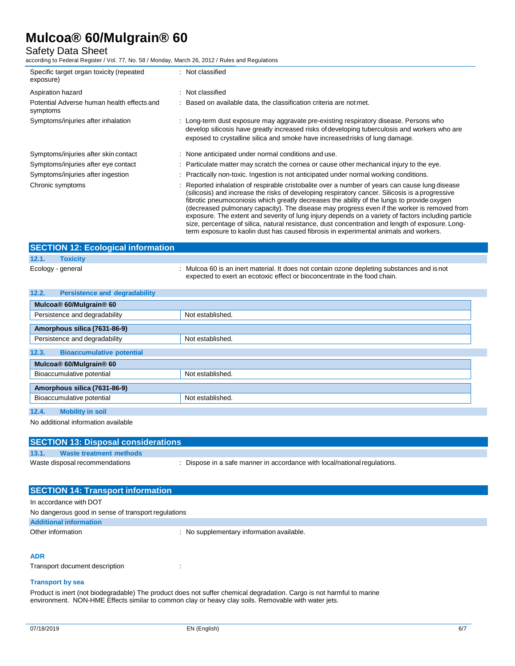## Safety Data Sheet

according to Federal Register / Vol. 77, No. 58 / Monday, March 26, 2012 / Rules and Regulations

| Specific target organ toxicity (repeated<br>exposure)  | : Not classified                                                                                                                                                                                                                                                                                                                                                                                                                                                                                                                                                                                          |
|--------------------------------------------------------|-----------------------------------------------------------------------------------------------------------------------------------------------------------------------------------------------------------------------------------------------------------------------------------------------------------------------------------------------------------------------------------------------------------------------------------------------------------------------------------------------------------------------------------------------------------------------------------------------------------|
| Aspiration hazard                                      | : Not classified                                                                                                                                                                                                                                                                                                                                                                                                                                                                                                                                                                                          |
| Potential Adverse human health effects and<br>symptoms | : Based on available data, the classification criteria are not met.                                                                                                                                                                                                                                                                                                                                                                                                                                                                                                                                       |
| Symptoms/injuries after inhalation                     | : Long-term dust exposure may aggravate pre-existing respiratory disease. Persons who<br>develop silicosis have greatly increased risks of developing tuberculosis and workers who are<br>exposed to crystalline silica and smoke have increased risks of lung damage.                                                                                                                                                                                                                                                                                                                                    |
| Symptoms/injuries after skin contact                   | : None anticipated under normal conditions and use.                                                                                                                                                                                                                                                                                                                                                                                                                                                                                                                                                       |
| Symptoms/injuries after eye contact                    | : Particulate matter may scratch the cornea or cause other mechanical injury to the eye.                                                                                                                                                                                                                                                                                                                                                                                                                                                                                                                  |
| Symptoms/injuries after ingestion                      | : Practically non-toxic. Ingestion is not anticipated under normal working conditions.                                                                                                                                                                                                                                                                                                                                                                                                                                                                                                                    |
| Chronic symptoms                                       | : Reported inhalation of respirable cristobalite over a number of years can cause lung disease<br>(silicosis) and increase the risks of developing respiratory cancer. Silicosis is a progressive<br>fibrotic pneumoconiosis which greatly decreases the ability of the lungs to provide oxygen<br>(decreased pulmonary capacity). The disease may progress even if the worker is removed from<br>exposure. The extent and severity of lung injury depends on a variety of factors including particle<br>size, percentage of silica, natural resistance, dust concentration and length of exposure. Long- |

|                   | <b>SECTION 12: Ecological information</b> |                                                                                                                                                                          |  |
|-------------------|-------------------------------------------|--------------------------------------------------------------------------------------------------------------------------------------------------------------------------|--|
| 12.1.             | <b>Toxicity</b>                           |                                                                                                                                                                          |  |
| Ecology - general |                                           | : Mulcoa 60 is an inert material. It does not contain ozone depleting substances and is not<br>expected to exert an ecotoxic effect or bioconcentrate in the food chain. |  |

term exposure to kaolin dust has caused fibrosis in experimental animals and workers.

| 12.2.<br><b>Persistence and degradability</b> |                  |  |
|-----------------------------------------------|------------------|--|
| Mulcoa® 60/Mulgrain® 60                       |                  |  |
| Persistence and degradability                 | Not established. |  |
| Amorphous silica (7631-86-9)                  |                  |  |
| Persistence and degradability                 | Not established. |  |
| <b>Bioaccumulative potential</b><br>12.3.     |                  |  |
| Mulcoa® 60/Mulgrain® 60                       |                  |  |
| Bioaccumulative potential                     | Not established. |  |
| Amorphous silica (7631-86-9)                  |                  |  |
| Bioaccumulative potential                     | Not established. |  |
| 12.4.<br><b>Mobility in soil</b>              |                  |  |

No additional information available

| <b>SECTION 13: Disposal considerations</b> |                         |                                                                         |
|--------------------------------------------|-------------------------|-------------------------------------------------------------------------|
| 13.1.                                      | Waste treatment methods |                                                                         |
| Waste disposal recommendations             |                         | Dispose in a safe manner in accordance with local/national regulations. |
|                                            |                         |                                                                         |

| <b>SECTION 14: Transport information</b>            |                                           |
|-----------------------------------------------------|-------------------------------------------|
| In accordance with DOT                              |                                           |
| No dangerous good in sense of transport regulations |                                           |
| <b>Additional information</b>                       |                                           |
| Other information                                   | : No supplementary information available. |

## **ADR**

Transport document description : : : :

## **Transport by sea**

Product is inert (not biodegradable) The product does not suffer chemical degradation. Cargo is not harmful to marine environment. NON-HME Effects similar to common clay or heavy clay soils. Removable with water jets.